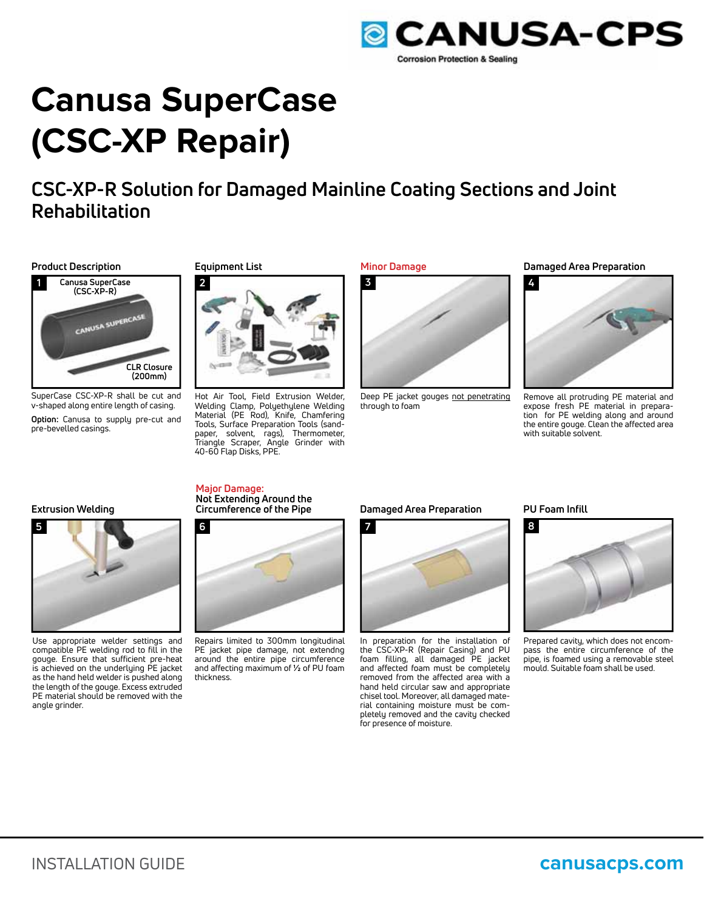

# **Canusa SuperCase (CSC-XP Repair)**

# **CSC-XP-R Solution for Damaged Mainline Coating Sections and Joint Rehabilitation**

#### **Product Description Equipment List**



SuperCase CSC-XP-R shall be cut and v-shaped along entire length of casing.

**Option:** Canusa to supply pre-cut and pre-bevelled casings.



Hot Air Tool, Field Extrusion Welder, Welding Clamp, Polyethylene Welding Material (PE Rod), Knife, Chamfering Tools, Surface Preparation Tools (sandpaper, solvent, rags), Thermometer, Triangle Scraper, Angle Grinder with 40-60 Flap Disks, PPE.



Deep PE jacket gouges not penetrating through to foam

#### **Minor Damage Damaged Area Preparation**



Remove all protruding PE material and expose fresh PE material in preparation for PE welding along and around the entire gouge. Clean the affected area with suitable solvent.

#### **Extrusion Welding**



Use appropriate welder settings and compatible PE welding rod to fill in the gouge. Ensure that sufficient pre-heat is achieved on the underlying PE jacket as the hand held welder is pushed along the length of the gouge. Excess extruded PE material should be removed with the angle grinder.

### **Major Damage: Not Extending Around the**



Repairs limited to 300mm longitudinal PE jacket pipe damage, not extendng around the entire pipe circumference and affecting maximum of **½** of PU foam thickness.

#### **Circumference of the Pipe Damaged Area Preparation**



In preparation for the installation of the CSC-XP-R (Repair Casing) and PU foam filling, all damaged PE jacket and affected foam must be completely removed from the affected area with a hand held circular saw and appropriate chisel tool. Moreover, all damaged material containing moisture must be completely removed and the cavity checked for presence of moisture.

#### **PU Foam Infill**



Prepared cavity, which does not encompass the entire circumference of the pipe, is foamed using a removable steel mould. Suitable foam shall be used.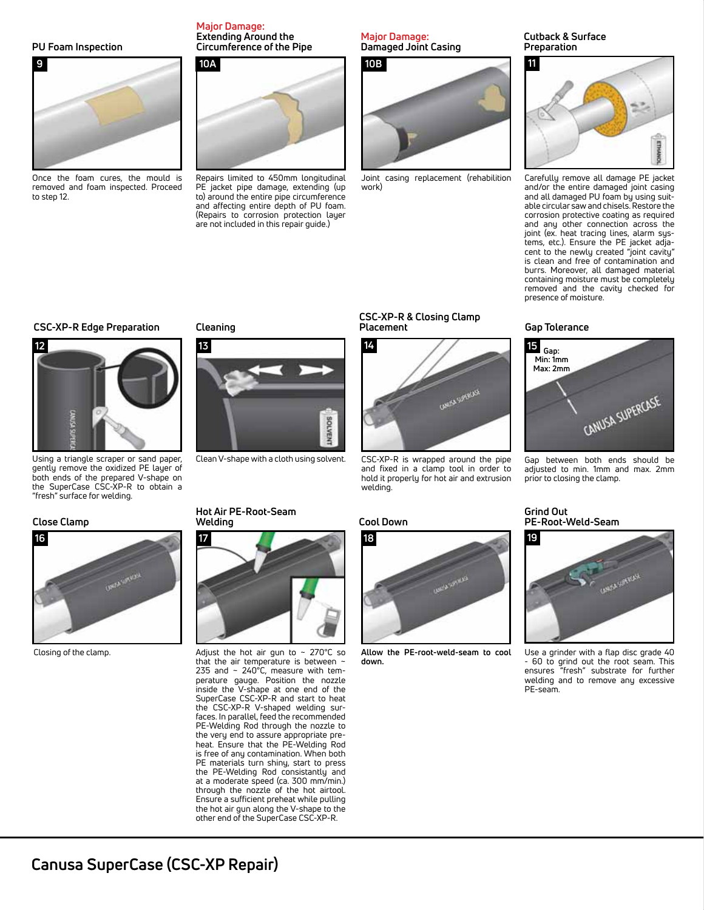#### **PU Foam Inspection**



Once the foam cures, the mould is removed and foam inspected. Proceed to step 12.

#### **Major Damage: Extending Around the Circumference of the Pipe**



Repairs limited to 450mm longitudinal PE jacket pipe damage, extending (up to) around the entire pipe circumference and affecting entire depth of PU foam. (Repairs to corrosion protection layer are not included in this repair guide.)

#### **Major Damage: Damaged Joint Casing**



Joint casing replacement (rehabilition work)

#### **Cutback & Surface Preparation**



Carefully remove all damage PE jacket and/or the entire damaged joint casing and all damaged PU foam by using suitable circular saw and chisels. Restore the corrosion protective coating as required and any other connection across the joint (ex. heat tracing lines, alarm systems, etc.). Ensure the PE jacket adjacent to the newly created "joint cavity" is clean and free of contamination and burrs. Moreover, all damaged material containing moisture must be completely removed and the cavity checked for presence of moisture.

#### **Gap Tolerance**



Gap between both ends should be adjusted to min. 1mm and max. 2mm prior to closing the clamp.

#### **Grind Out PE-Root-Weld-Seam**



Use a grinder with a flap disc grade 40 - 60 to grind out the root seam. This ensures "fresh" substrate for further welding and to remove any excessive PE-seam.

### **CSC-XP-R Edge Preparation**



Using a triangle scraper or sand paper, gently remove the oxidized PE layer of both ends of the prepared V-shape on the SuperCase CSC-XP-R to obtain a "fresh" surface for welding.

#### **Close Clamp**



Closing of the clamp.

**Cleaning**

**13**





Adjust the hot air gun to  $\sim 270^{\circ}$ C so that the air temperature is between ~ 235 and ~ 240°C, measure with temperature gauge. Position the nozzle inside the V-shape at one end of the SuperCase CSC-XP-R and start to heat the CSC-XP-R V-shaped welding surfaces. In parallel, feed the recommended PE-Welding Rod through the nozzle to the very end to assure appropriate preheat. Ensure that the PE-Welding Rod is free of any contamination. When both PE materials turn shiny, start to press the PE-Welding Rod consistantly and at a moderate speed (ca. 300 mm/min.) through the nozzle of the hot airtool. Ensure a sufficient preheat while pulling the hot air gun along the V-shape to the other end of the SuperCase CSC-XP-R.

### **Cool Down**

welding.

BOLVEN



CSC-XP-R is wrapped around the pipe and fixed in a clamp tool in order to hold it properly for hot air and extrusion

**ONESA SUPERCASE** 

**CSC-XP-R & Closing Clamp**

**Placement**

**Allow the PE-root-weld-seam to cool down.**

Clean V-shape with a cloth using solvent.

## **Canusa SuperCase (CSC-XP Repair)**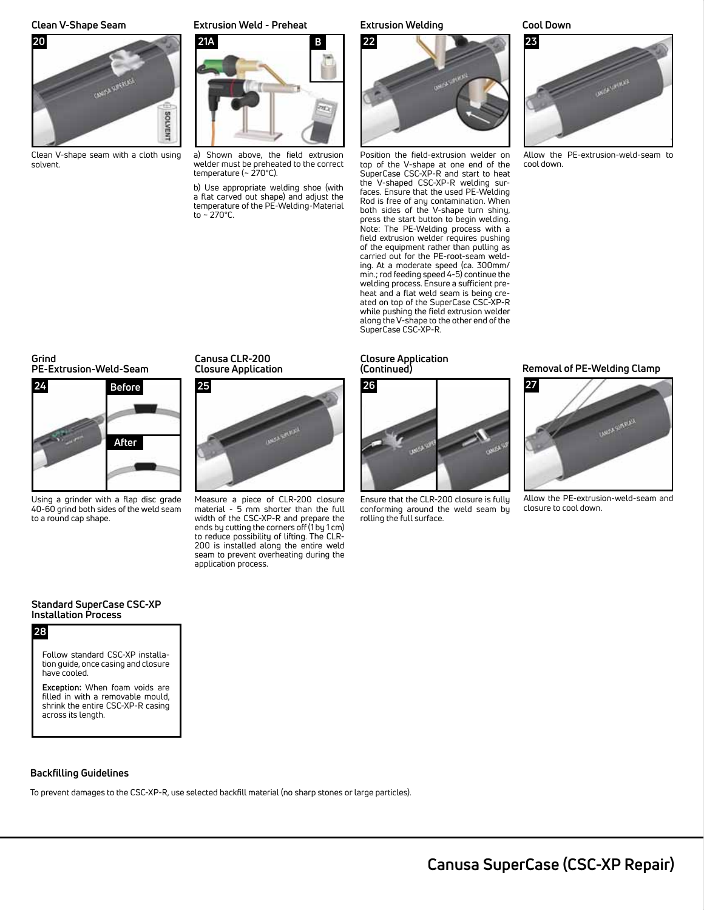

Clean V-shape seam with a cloth using solvent.

#### **Clean V-Shape Seam Extrusion Weld - Preheat Extrusion Welding Cool Down**



a) Shown above, the field extrusion welder must be preheated to the correct temperature (~ 270°C).

b) Use appropriate welding shoe (with a flat carved out shape) and adjust the temperature of the PE-Welding-Material to  $-270^{\circ}$ C.



Position the field-extrusion welder on top of the V-shape at one end of the SuperCase CSC-XP-R and start to heat the V-shaped CSC-XP-R welding surfaces. Ensure that the used PE-Welding Rod is free of any contamination. When both sides of the V-shape turn shiny, press the start button to begin welding. Note: The PE-Welding process with a field extrusion welder requires pushing of the equipment rather than pulling as carried out for the PE-root-seam welding. At a moderate speed (ca. 300mm/ min.; rod feeding speed 4-5) continue the welding process. Ensure a sufficient preheat and a flat weld seam is being created on top of the SuperCase CSC-XP-R while pushing the field extrusion welder along the V-shape to the other end of the SuperCase CSC-XP-R.



Allow the PE-extrusion-weld-seam to cool down.

### **Grind PE-Extrusion-Weld-Seam**



Using a grinder with a flap disc grade 40-60 grind both sides of the weld seam to a round cap shape.

**Canusa CLR-200 Closure Application**



Measure a piece of CLR-200 closure material - 5 mm shorter than the full width of the CSC-XP-R and prepare the ends by cutting the corners off (1 by 1 cm) to reduce possibility of lifting. The CLR-200 is installed along the entire weld seam to prevent overheating during the application process.

#### **Closure Application (Continued)**



Ensure that the CLR-200 closure is fully conforming around the weld seam by rolling the full surface.

#### **Removal of PE-Welding Clamp**



Allow the PE-extrusion-weld-seam and closure to cool down.

#### **Standard SuperCase CSC-XP Installation Process**

### **28**



**Exception:** When foam voids are filled in with a removable mould, shrink the entire CSC-XP-R casing across its length.

#### **Backfilling Guidelines**

To prevent damages to the CSC-XP-R, use selected backfill material (no sharp stones or large particles).